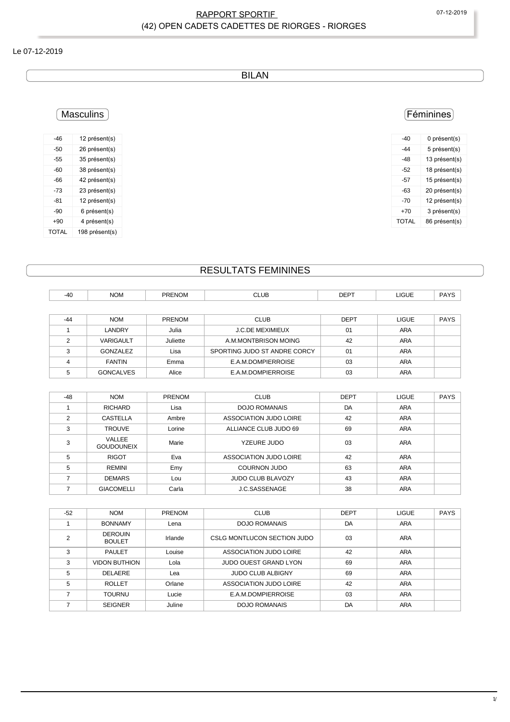### RAPPORT SPORTIF 
OT-12-2019 (42) OPEN CADETS CADETTES DE RIORGES - RIORGES

#### Le 07-12-2019

BILAN

### Féminines

| -40   | 0 présent(s)  |
|-------|---------------|
| -44   | 5 présent(s)  |
| -48   | 13 présent(s) |
| -52   | 18 présent(s) |
| -57   | 15 présent(s) |
| -63   | 20 présent(s) |
| -70   | 12 présent(s) |
| $+70$ | 3 présent(s)  |
| TOTAL | 86 présent(s) |
|       |               |

### **Masculins**

| $-46$ | 12 présent(s)  |
|-------|----------------|
| -50   | 26 présent(s)  |
| -55   | 35 présent(s)  |
| -60   | 38 présent(s)  |
| -66   | 42 présent(s)  |
| -73   | 23 présent(s)  |
| -81   | 12 présent(s)  |
| -90   | 6 présent(s)   |
| $+90$ | 4 présent(s)   |
| TOTAL | 198 présent(s) |

## RESULTATS FEMININES

| $-40$ | <b>NOM</b>       | <b>PRENOM</b> | <b>CLUB</b>                  | <b>DEPT</b> |              |             |
|-------|------------------|---------------|------------------------------|-------------|--------------|-------------|
|       |                  |               |                              |             | LIGUE        | <b>PAYS</b> |
|       |                  |               |                              |             |              |             |
| $-44$ | <b>NOM</b>       | <b>PRENOM</b> | <b>CLUB</b>                  | <b>DEPT</b> | <b>LIGUE</b> | <b>PAYS</b> |
|       | LANDRY           | Julia         | <b>J.C.DE MEXIMIEUX</b>      | 01          | <b>ARA</b>   |             |
| C     | <b>VARIGAULT</b> | Juliette      | A M MONTBRISON MOING         | 42          | <b>ARA</b>   |             |
| 3     | GONZALEZ         | Lisa          | SPORTING JUDO ST ANDRE CORCY | 01          | <b>ARA</b>   |             |
| 4     | <b>FANTIN</b>    | Emma          | E.A.M.DOMPIERROISE           | 03          | ARA          |             |
| 5     | <b>GONCALVES</b> | Alice         | E.A.M.DOMPIERROISE           | 03          | <b>ARA</b>   |             |

| $-48$ | <b>NOM</b>                  | PRENOM | <b>CLUB</b>              | <b>DEPT</b> | <b>LIGUE</b> | <b>PAYS</b> |
|-------|-----------------------------|--------|--------------------------|-------------|--------------|-------------|
|       | <b>RICHARD</b>              | Lisa   | DOJO ROMANAIS            | DA          | <b>ARA</b>   |             |
| 2     | <b>CASTELLA</b>             | Ambre  | ASSOCIATION JUDO LOIRE   | 42          | <b>ARA</b>   |             |
| 3     | <b>TROUVE</b>               | Lorine | ALLIANCE CLUB JUDO 69    | 69          | <b>ARA</b>   |             |
| 3     | VALLEE<br><b>GOUDOUNEIX</b> | Marie  | YZEURE JUDO              | 03          | ARA          |             |
| 5     | <b>RIGOT</b>                | Eva    | ASSOCIATION JUDO LOIRE   | 42          | <b>ARA</b>   |             |
| 5     | REMINI                      | Emy    | <b>COURNON JUDO</b>      | 63          | <b>ARA</b>   |             |
|       | <b>DEMARS</b>               | Lou    | <b>JUDO CLUB BLAVOZY</b> | 43          | ARA          |             |
|       | <b>GIACOMELLI</b>           | Carla  | J.C.SASSENAGE            | 38          | <b>ARA</b>   |             |

| $-52$ | <b>NOM</b>                      | <b>PRENOM</b> | <b>CLUB</b>                  | <b>DEPT</b> | LIGUE      | <b>PAYS</b> |
|-------|---------------------------------|---------------|------------------------------|-------------|------------|-------------|
|       | <b>BONNAMY</b>                  | Lena          | <b>DOJO ROMANAIS</b>         | DA          | <b>ARA</b> |             |
|       | <b>DEROUIN</b><br><b>BOULET</b> | Irlande       | CSLG MONTLUCON SECTION JUDO  | 03          | ARA        |             |
| 3     | <b>PAULET</b>                   | Louise        | ASSOCIATION JUDO LOIRE       | 42          | ARA        |             |
| 3     | <b>VIDON BUTHION</b>            | Lola          | <b>JUDO OUEST GRAND LYON</b> | 69          | <b>ARA</b> |             |
| 5     | <b>DELAERE</b>                  | Lea           | <b>JUDO CLUB ALBIGNY</b>     | 69          | ARA        |             |
| 5     | <b>ROLLET</b>                   | Orlane        | ASSOCIATION JUDO LOIRE       | 42          | <b>ARA</b> |             |
|       | <b>TOURNU</b>                   | Lucie         | E.A.M.DOMPIERROISE           | 03          | ARA        |             |
|       | <b>SEIGNER</b>                  | Juline        | <b>DOJO ROMANAIS</b>         | DA          | <b>ARA</b> |             |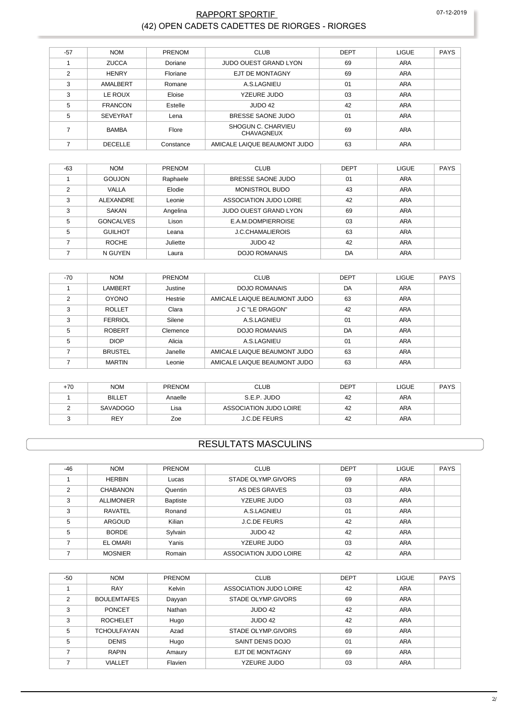### **RAPPORT SPORTIF** (42) OPEN CADETS CADETTES DE RIORGES - RIORGES

| $-57$ | <b>NOM</b>      | PRENOM    | <b>CLUB</b>                             | <b>DEPT</b> | <b>LIGUE</b> | <b>PAYS</b> |
|-------|-----------------|-----------|-----------------------------------------|-------------|--------------|-------------|
|       | <b>ZUCCA</b>    | Doriane   | <b>JUDO OUEST GRAND LYON</b>            | 69          | <b>ARA</b>   |             |
| 2     | <b>HENRY</b>    | Floriane  | <b>EJT DE MONTAGNY</b>                  | 69          | <b>ARA</b>   |             |
| 3     | AMALBERT        | Romane    | A.S.LAGNIEU                             | 01          | <b>ARA</b>   |             |
| 3     | LE ROUX         | Eloise    | YZEURE JUDO                             | 03          | <b>ARA</b>   |             |
| 5     | <b>FRANCON</b>  | Estelle   | JUDO 42                                 | 42          | <b>ARA</b>   |             |
| 5     | <b>SEVEYRAT</b> | Lena      | BRESSE SAONE JUDO                       | 01          | <b>ARA</b>   |             |
|       | <b>BAMBA</b>    | Flore     | SHOGUN C. CHARVIEU<br><b>CHAVAGNEUX</b> | 69          | <b>ARA</b>   |             |
|       | <b>DECELLE</b>  | Constance | AMICALE LAIQUE BEAUMONT JUDO            | 63          | <b>ARA</b>   |             |

| $-63$ | <b>NOM</b>       | PRENOM   | <b>CLUB</b>                  | <b>DEPT</b> | <b>LIGUE</b> | <b>PAYS</b> |
|-------|------------------|----------|------------------------------|-------------|--------------|-------------|
|       | <b>GOUJON</b>    | Raphaele | BRESSE SAONE JUDO            | 01          | <b>ARA</b>   |             |
| 2     | VALLA            | Elodie   | <b>MONISTROL BUDO</b>        | 43          | <b>ARA</b>   |             |
| 3     | ALEXANDRE        | Leonie   | ASSOCIATION JUDO LOIRE       | 42          | <b>ARA</b>   |             |
| 3     | SAKAN            | Angelina | <b>JUDO OUEST GRAND LYON</b> | 69          | <b>ARA</b>   |             |
| 5     | <b>GONCALVES</b> | Lison    | E.A.M.DOMPIERROISE           | 03          | ARA          |             |
| 5     | <b>GUILHOT</b>   | Leana    | <b>J.C.CHAMALIEROIS</b>      | 63          | ARA          |             |
|       | <b>ROCHE</b>     | Juliette | JUDO 42                      | 42          | ARA          |             |
|       | N GUYEN          | Laura    | <b>DOJO ROMANAIS</b>         | DA          | <b>ARA</b>   |             |

| $-70$          | <b>NOM</b>     | <b>PRENOM</b> | <b>CLUB</b>                  | <b>DEPT</b> | <b>LIGUE</b> | <b>PAYS</b> |
|----------------|----------------|---------------|------------------------------|-------------|--------------|-------------|
|                | <b>LAMBERT</b> | Justine       | <b>DOJO ROMANAIS</b>         | DA          | ARA          |             |
| $\mathfrak{p}$ | <b>OYONO</b>   | Hestrie       | AMICALE LAIQUE BEAUMONT JUDO | 63          | <b>ARA</b>   |             |
| 3              | <b>ROLLET</b>  | Clara         | <b>J C "LE DRAGON"</b>       | 42          | <b>ARA</b>   |             |
| 3              | <b>FERRIOL</b> | Silene        | A.S.LAGNIEU                  | 01          | ARA          |             |
| 5              | <b>ROBERT</b>  | Clemence      | <b>DOJO ROMANAIS</b>         | DA          | ARA          |             |
| 5              | <b>DIOP</b>    | Alicia        | A.S.LAGNIEU                  | 01          | ARA          |             |
|                | <b>BRUSTEL</b> | Janelle       | AMICALE LAIQUE BEAUMONT JUDO | 63          | ARA          |             |
|                | <b>MARTIN</b>  | Leonie        | AMICALE LAIQUE BEAUMONT JUDO | 63          | <b>ARA</b>   |             |

| +70 | <b>NOM</b>    | <b>PRENOM</b> | <b>CLUB</b>            | <b>DEPT</b> | LIGUE      | PAYS |
|-----|---------------|---------------|------------------------|-------------|------------|------|
|     | <b>BILLET</b> | Anaelle       | S.E.P. JUDO            | 42          | ARA        |      |
|     | SAVADOGO      | Lisa          | ASSOCIATION JUDO LOIRE | 42          | <b>ARA</b> |      |
|     | <b>REY</b>    | Zoe           | <b>J.C.DE FEURS</b>    | 42          | <b>ARA</b> |      |

### **RESULTATS MASCULINS**

| $-46$          | <b>NOM</b>        | <b>PRENOM</b> | <b>CLUB</b>            | <b>DEPT</b> | <b>LIGUE</b> | <b>PAYS</b> |
|----------------|-------------------|---------------|------------------------|-------------|--------------|-------------|
|                | <b>HERBIN</b>     | Lucas         | STADE OLYMP.GIVORS     | 69          | <b>ARA</b>   |             |
| $\mathfrak{p}$ | <b>CHABANON</b>   | Quentin       | AS DES GRAVES          | 03          | <b>ARA</b>   |             |
| 3              | <b>ALLIMONIER</b> | Baptiste      | <b>YZEURE JUDO</b>     | 03          | <b>ARA</b>   |             |
| 3              | <b>RAVATEL</b>    | Ronand        | A.S.LAGNIEU            | 01          | <b>ARA</b>   |             |
| 5              | ARGOUD            | Kilian        | <b>J.C.DE FEURS</b>    | 42          | <b>ARA</b>   |             |
| 5              | <b>BORDE</b>      | Sylvain       | JUDO 42                | 42          | <b>ARA</b>   |             |
|                | <b>EL OMARI</b>   | Yanis         | YZEURE JUDO            | 03          | <b>ARA</b>   |             |
|                | <b>MOSNIER</b>    | Romain        | ASSOCIATION JUDO LOIRE | 42          | <b>ARA</b>   |             |

| $-50$         | <b>NOM</b>         | <b>PRENOM</b> | <b>CLUB</b>            | <b>DEPT</b> | <b>LIGUE</b> | <b>PAYS</b> |
|---------------|--------------------|---------------|------------------------|-------------|--------------|-------------|
|               | <b>RAY</b>         | Kelvin        | ASSOCIATION JUDO LOIRE | 42          | <b>ARA</b>   |             |
| $\mathcal{P}$ | <b>BOULEMTAFES</b> | Dayyan        | STADE OLYMP.GIVORS     | 69          | ARA          |             |
| 3             | <b>PONCET</b>      | Nathan        | JUDO 42                | 42          | <b>ARA</b>   |             |
| 3             | <b>ROCHELET</b>    | Hugo          | JUDO 42                | 42          | ARA          |             |
| 5             | <b>TCHOULFAYAN</b> | Azad          | STADE OLYMP.GIVORS     | 69          | <b>ARA</b>   |             |
| 5             | <b>DENIS</b>       | Hugo          | SAINT DENIS DOJO       | 01          | <b>ARA</b>   |             |
|               | <b>RAPIN</b>       | Amaury        | EJT DE MONTAGNY        | 69          | <b>ARA</b>   |             |
|               | VIALLET            | Flavien       | YZEURE JUDO            | 03          | <b>ARA</b>   |             |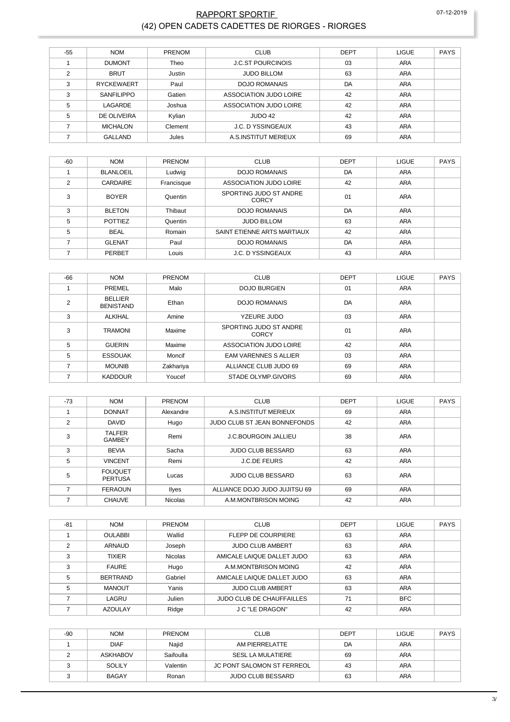### RAPPORT SPORTIF (42) OPEN CADETS CADETTES DE RIORGES - RIORGES

| $-55$ | <b>NOM</b>        | <b>PRENOM</b> | <b>CLUB</b>              | <b>DEPT</b> | <b>LIGUE</b> | <b>PAYS</b> |
|-------|-------------------|---------------|--------------------------|-------------|--------------|-------------|
|       | <b>DUMONT</b>     | Theo          | <b>J.C.ST POURCINOIS</b> | 03          | <b>ARA</b>   |             |
| 2     | <b>BRUT</b>       | Justin        | <b>JUDO BILLOM</b>       | 63          | <b>ARA</b>   |             |
| 3     | <b>RYCKEWAERT</b> | Paul          | <b>DOJO ROMANAIS</b>     | DA          | <b>ARA</b>   |             |
| 3     | SANFILIPPO        | Gatien        | ASSOCIATION JUDO LOIRE   | 42          | ARA          |             |
| 5     | LAGARDE           | Joshua        | ASSOCIATION JUDO LOIRE   | 42          | ARA          |             |
| 5     | DE OLIVEIRA       | Kylian        | JUDO 42                  | 42          | <b>ARA</b>   |             |
|       | <b>MICHALON</b>   | Clement       | <b>J.C. D YSSINGEAUX</b> | 43          | <b>ARA</b>   |             |
|       | <b>GALLAND</b>    | Jules         | A.S.INSTITUT MERIEUX     | 69          | <b>ARA</b>   |             |

| $-60$         | <b>NOM</b>      | PRENOM     | <b>CLUB</b>                     | <b>DEPT</b> | <b>LIGUE</b> | <b>PAYS</b> |
|---------------|-----------------|------------|---------------------------------|-------------|--------------|-------------|
|               | BLANLOEIL       | Ludwig     | DOJO ROMANAIS                   | DA          | <b>ARA</b>   |             |
| $\mathcal{P}$ | <b>CARDAIRE</b> | Francisque | ASSOCIATION JUDO LOIRE          | 42          | <b>ARA</b>   |             |
| 3             | <b>BOYER</b>    | Quentin    | SPORTING JUDO ST ANDRE<br>CORCY | 01          | ARA          |             |
| 3             | <b>BLETON</b>   | Thibaut    | <b>DOJO ROMANAIS</b>            | DA          | <b>ARA</b>   |             |
| 5             | <b>POTTIEZ</b>  | Quentin    | <b>JUDO BILLOM</b>              | 63          | <b>ARA</b>   |             |
| 5             | <b>BEAL</b>     | Romain     | SAINT ETIENNE ARTS MARTIAUX     | 42          | <b>ARA</b>   |             |
| ⇁             | <b>GLENAT</b>   | Paul       | <b>DOJO ROMANAIS</b>            | DA          | ARA          |             |
|               | PERBET          | Louis      | <b>J.C. D YSSINGEAUX</b>        | 43          | <b>ARA</b>   |             |

| $-66$ | <b>NOM</b>                         | <b>PRENOM</b> | <b>CLUB</b>                     | <b>DEPT</b> | <b>LIGUE</b> | <b>PAYS</b> |
|-------|------------------------------------|---------------|---------------------------------|-------------|--------------|-------------|
|       | PREMEL                             | Malo          | <b>DOJO BURGIEN</b>             | 01          | <b>ARA</b>   |             |
| 2     | <b>BELLIER</b><br><b>BENISTAND</b> | Ethan         | <b>DOJO ROMANAIS</b>            | DA          | ARA          |             |
| 3     | <b>ALKIHAL</b>                     | Amine         | YZEURE JUDO                     | 03          | ARA          |             |
| 3     | <b>TRAMONI</b>                     | Maxime        | SPORTING JUDO ST ANDRE<br>CORCY | 01          | ARA          |             |
| 5     | <b>GUERIN</b>                      | Maxime        | ASSOCIATION JUDO LOIRE          | 42          | ARA          |             |
| 5     | <b>ESSOUAK</b>                     | Moncif        | <b>EAM VARENNES S ALLIER</b>    | 03          | <b>ARA</b>   |             |
|       | <b>MOUNIB</b>                      | Zakhariya     | ALLIANCE CLUB JUDO 69           | 69          | <b>ARA</b>   |             |
|       | <b>KADDOUR</b>                     | Youcef        | STADE OLYMP.GIVORS              | 69          | <b>ARA</b>   |             |

| $-73$ | <b>NOM</b>                       | PRENOM         | <b>CLUB</b>                   | <b>DEPT</b> | LIGUE      | <b>PAYS</b> |
|-------|----------------------------------|----------------|-------------------------------|-------------|------------|-------------|
|       | <b>DONNAT</b>                    | Alexandre      | A.S. INSTITUT MERIEUX         | 69          | <b>ARA</b> |             |
| 2     | <b>DAVID</b>                     | Hugo           | JUDO CLUB ST JEAN BONNEFONDS  | 42          | ARA        |             |
| 3     | <b>TALFER</b><br><b>GAMBEY</b>   | Remi           | <b>J.C.BOURGOIN JALLIEU</b>   | 38          | ARA        |             |
| 3     | <b>BEVIA</b>                     | Sacha          | <b>JUDO CLUB BESSARD</b>      | 63          | <b>ARA</b> |             |
| 5     | <b>VINCENT</b>                   | Remi           | <b>J.C.DE FEURS</b>           | 42          | ARA        |             |
| 5     | <b>FOUQUET</b><br><b>PERTUSA</b> | Lucas          | <b>JUDO CLUB BESSARD</b>      | 63          | ARA        |             |
|       | <b>FERAOUN</b>                   | Ilyes          | ALLIANCE DOJO JUDO JUJITSU 69 | 69          | <b>ARA</b> |             |
|       | <b>CHAUVE</b>                    | <b>Nicolas</b> | A.M.MONTBRISON MOING          | 42          | <b>ARA</b> |             |

| $-81$ | <b>NOM</b>      | <b>PRENOM</b>  | <b>CLUB</b>                      | DEPT | <b>LIGUE</b> | <b>PAYS</b> |
|-------|-----------------|----------------|----------------------------------|------|--------------|-------------|
|       | <b>OULABBI</b>  | Wallid         | <b>FLEPP DE COURPIERE</b>        | 63   | ARA          |             |
| ◠     | ARNAUD          | Joseph         | <b>JUDO CLUB AMBERT</b>          | 63   | ARA          |             |
| 3     | <b>TIXIER</b>   | <b>Nicolas</b> | AMICALE LAIQUE DALLET JUDO       | 63   | ARA          |             |
| 3     | <b>FAURE</b>    | Hugo           | A.M.MONTBRISON MOING             | 42   | ARA          |             |
| 5     | <b>BERTRAND</b> | Gabriel        | AMICALE LAIQUE DALLET JUDO       | 63   | <b>ARA</b>   |             |
| 5     | <b>MANOUT</b>   | Yanis          | <b>JUDO CLUB AMBERT</b>          | 63   | ARA          |             |
|       | LAGRU           | Julien         | <b>JUDO CLUB DE CHAUFFAILLES</b> | 71   | <b>BFC</b>   |             |
|       | <b>AZOULAY</b>  | Ridge          | <b>J C "LE DRAGON"</b>           | 42   | <b>ARA</b>   |             |

| $-90$ | <b>NOM</b>      | <b>PRENOM</b> | <b>CLUB</b>                | <b>DEPT</b> | <b>LIGUE</b> | <b>PAYS</b> |
|-------|-----------------|---------------|----------------------------|-------------|--------------|-------------|
|       | <b>DIAF</b>     | Najid         | AM PIFRRFI ATTF            | DA          | ARA          |             |
|       | <b>ASKHABOV</b> | Saifoulla     | SESL LA MULATIERE          | 69          | <b>ARA</b>   |             |
|       | SOLILY          | Valentin      | JC PONT SALOMON ST FERREOL | 43          | <b>ARA</b>   |             |
|       | <b>BAGAY</b>    | Ronan         | <b>JUDO CLUB BESSARD</b>   | 63          | <b>ARA</b>   |             |